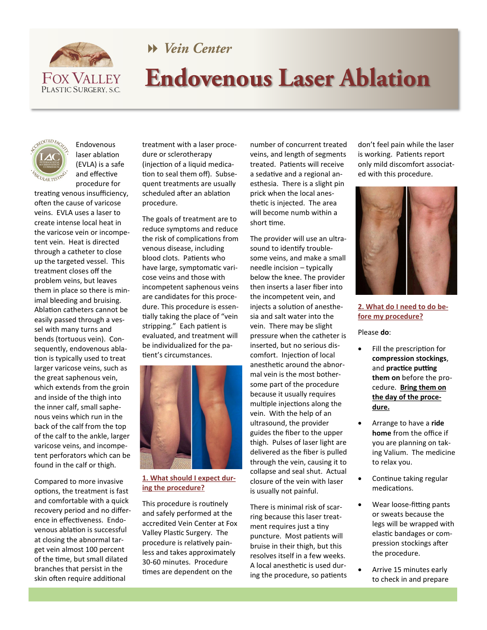

# Wein Center

# **Endovenous Laser Ablation**



Endovenous laser ablation (EVLA) is a safe and effective procedure for

treating venous insufficiency, often the cause of varicose veins. EVLA uses a laser to create intense local heat in the varicose vein or incompetent vein. Heat is directed through a catheter to close up the targeted vessel. This treatment closes off the problem veins, but leaves them in place so there is minimal bleeding and bruising. Ablation catheters cannot be easily passed through a vessel with many turns and bends (tortuous vein). Consequently, endovenous ablation is typically used to treat larger varicose veins, such as the great saphenous vein, which extends from the groin and inside of the thigh into the inner calf, small saphenous veins which run in the back of the calf from the top of the calf to the ankle, larger varicose veins, and incompetent perforators which can be found in the calf or thigh.

Compared to more invasive options, the treatment is fast and comfortable with a quick recovery period and no difference in effectiveness. Endovenous ablation is successful at closing the abnormal target vein almost 100 percent of the time, but small dilated branches that persist in the skin often require additional

treatment with a laser procedure or sclerotherapy (injection of a liquid medication to seal them off). Subsequent treatments are usually scheduled after an ablation procedure.

The goals of treatment are to reduce symptoms and reduce the risk of complications from venous disease, including blood clots. Patients who have large, symptomatic varicose veins and those with incompetent saphenous veins are candidates for this procedure. This procedure is essentially taking the place of "vein stripping." Each patient is evaluated, and treatment will be individualized for the patient's circumstances.



## **1. What should I expect during the procedure?**

This procedure is routinely and safely performed at the accredited Vein Center at Fox Valley Plastic Surgery. The procedure is relatively painless and takes approximately 30-60 minutes. Procedure times are dependent on the

number of concurrent treated veins, and length of segments treated. Patients will receive a sedative and a regional anesthesia. There is a slight pin prick when the local anesthetic is injected. The area will become numb within a short time.

The provider will use an ultrasound to identify troublesome veins, and make a small needle incision – typically below the knee. The provider then inserts a laser fiber into the incompetent vein, and injects a solution of anesthesia and salt water into the vein. There may be slight pressure when the catheter is inserted, but no serious discomfort. Injection of local anesthetic around the abnormal vein is the most bothersome part of the procedure because it usually requires multiple injections along the vein. With the help of an ultrasound, the provider guides the fiber to the upper thigh. Pulses of laser light are delivered as the fiber is pulled through the vein, causing it to collapse and seal shut. Actual closure of the vein with laser is usually not painful.

There is minimal risk of scarring because this laser treatment requires just a tiny puncture. Most patients will bruise in their thigh, but this resolves itself in a few weeks. A local anesthetic is used during the procedure, so patients

don't feel pain while the laser is working. Patients report only mild discomfort associated with this procedure.



## **2. What do I need to do before my procedure?**

Please **do**:

- Fill the prescription for **compression stockings**, and **practice putting them on** before the procedure. **Bring them on the day of the procedure.**
- Arrange to have a **ride home** from the office if you are planning on taking Valium. The medicine to relax you.
- Continue taking regular medications.
- Wear loose-fitting pants or sweats because the legs will be wrapped with elastic bandages or compression stockings after the procedure.
- Arrive 15 minutes early to check in and prepare